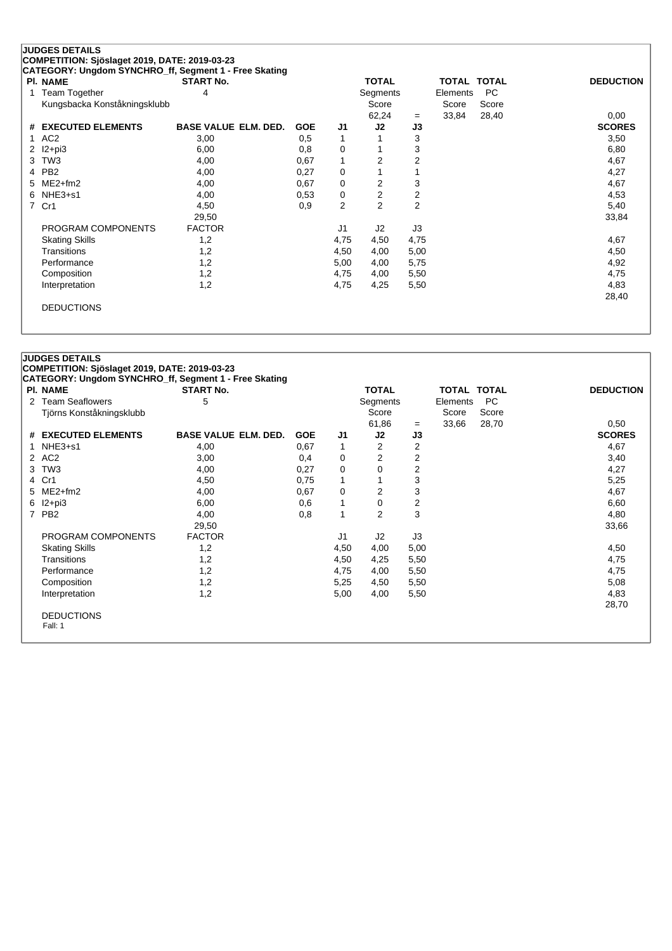## **JUDGES DETAILS COMPETITION: Sjöslaget 2019, DATE: 2019-03-23**

| <b>PI. NAME</b>              | <b>START No.</b>            |            |      | <b>TOTAL</b> |                | <b>TOTAL TOTAL</b> |       | <b>DEDUCTION</b> |
|------------------------------|-----------------------------|------------|------|--------------|----------------|--------------------|-------|------------------|
| 1 Team Together              | 4                           |            |      | Segments     |                | Elements           | PC.   |                  |
| Kungsbacka Konståkningsklubb |                             |            |      | Score        |                | Score              | Score |                  |
|                              |                             |            |      | 62,24        | $=$            | 33,84              | 28,40 | 0,00             |
| # EXECUTED ELEMENTS          | <b>BASE VALUE ELM. DED.</b> | <b>GOE</b> | J1   | J2           | J3             |                    |       | <b>SCORES</b>    |
| 1 AC2                        | 3,00                        | 0.5        | 1    |              | 3              |                    |       | 3,50             |
| 2 $12+pi3$                   | 6,00                        | 0,8        | 0    |              | 3              |                    |       | 6,80             |
| 3 TW3                        | 4,00                        | 0,67       | 1    | 2            | $\overline{2}$ |                    |       | 4,67             |
| 4 PB2                        | 4,00                        | 0,27       | 0    |              |                |                    |       | 4,27             |
| 5 ME2+fm2                    | 4,00                        | 0,67       | 0    | 2            | 3              |                    |       | 4,67             |
| $6$ NHE3+s1                  | 4,00                        | 0,53       | 0    | 2            | $\overline{2}$ |                    |       | 4,53             |
| 7 Cr1                        | 4,50                        | 0,9        | 2    | 2            | $\overline{2}$ |                    |       | 5,40             |
|                              | 29,50                       |            |      |              |                |                    |       | 33,84            |
| PROGRAM COMPONENTS           | <b>FACTOR</b>               |            | J1   | J2           | J3             |                    |       |                  |
| <b>Skating Skills</b>        | 1,2                         |            | 4,75 | 4,50         | 4,75           |                    |       | 4,67             |
| Transitions                  | 1,2                         |            | 4,50 | 4,00         | 5,00           |                    |       | 4,50             |
| Performance                  | 1,2                         |            | 5,00 | 4,00         | 5,75           |                    |       | 4,92             |
| Composition                  | 1,2                         |            | 4,75 | 4,00         | 5,50           |                    |       | 4,75             |
| Interpretation               | 1,2                         |            | 4,75 | 4,25         | 5,50           |                    |       | 4,83             |
|                              |                             |            |      |              |                |                    |       | 28,40            |
| <b>DEDUCTIONS</b>            |                             |            |      |              |                |                    |       |                  |

| <b>PI. NAME</b>          | <b>START No.</b>            |            |      | <b>TOTAL</b>            |                | TOTAL TOTAL |       | <b>DEDUCTION</b> |
|--------------------------|-----------------------------|------------|------|-------------------------|----------------|-------------|-------|------------------|
| 2 Team Seaflowers        | 5                           |            |      | Segments                |                | Elements    | PC    |                  |
| Tjörns Konståkningsklubb |                             |            |      | Score                   |                | Score       | Score |                  |
|                          |                             |            |      | 61,86                   | $=$            | 33,66       | 28,70 | 0,50             |
| # EXECUTED ELEMENTS      | <b>BASE VALUE ELM. DED.</b> | <b>GOE</b> | J1   | J2                      | J3             |             |       | <b>SCORES</b>    |
| $NHE3+51$                | 4,00                        | 0,67       | 1    | 2                       | 2              |             |       | 4,67             |
| 2 AC2                    | 3,00                        | 0,4        | 0    | 2                       | $\overline{2}$ |             |       | 3,40             |
| 3 TW3                    | 4,00                        | 0,27       | 0    | 0                       | 2              |             |       | 4,27             |
| 4 Cr1                    | 4,50                        | 0,75       | 1    | 1                       | 3              |             |       | 5,25             |
| 5 ME2+fm2                | 4,00                        | 0,67       | 0    | $\overline{\mathbf{c}}$ | 3              |             |       | 4,67             |
| $6$ $12+pi3$             | 6,00                        | 0,6        | 1    | 0                       | 2              |             |       | 6,60             |
| 7 PB2                    | 4,00                        | 0,8        | 1    | $\overline{2}$          | 3              |             |       | 4,80             |
|                          | 29,50                       |            |      |                         |                |             |       | 33,66            |
| PROGRAM COMPONENTS       | <b>FACTOR</b>               |            | J1   | J2                      | J3             |             |       |                  |
| <b>Skating Skills</b>    | 1,2                         |            | 4,50 | 4,00                    | 5,00           |             |       | 4,50             |
| Transitions              | 1,2                         |            | 4,50 | 4,25                    | 5,50           |             |       | 4,75             |
| Performance              | 1,2                         |            | 4,75 | 4,00                    | 5,50           |             |       | 4,75             |
| Composition              | 1,2                         |            | 5,25 | 4,50                    | 5,50           |             |       | 5,08             |
| Interpretation           | 1,2                         |            | 5,00 | 4,00                    | 5,50           |             |       | 4,83             |
|                          |                             |            |      |                         |                |             |       | 28,70            |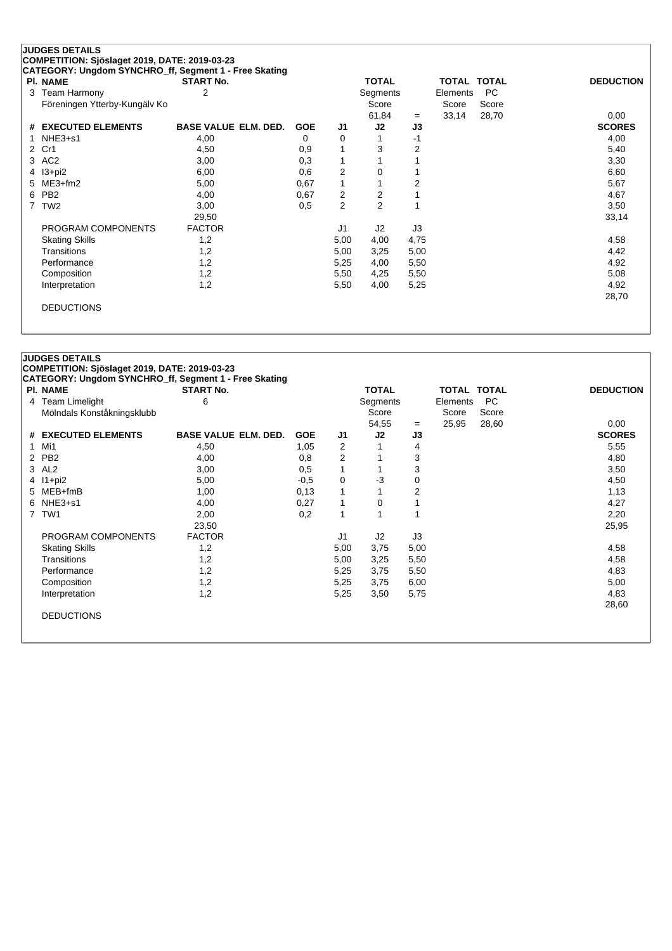## **JUDGES DETAILS COMPETITION: Sjöslaget 2019, DATE: 2019-03-23**

**CATEGORY: Ungdom SYNCHRO\_ff, Segment 1 - Free Skating**

| <b>PI. NAME</b>               | <b>START No.</b>            |            |      | <b>TOTAL</b>   |      | TOTAL TOTAL |       | <b>DEDUCTION</b> |
|-------------------------------|-----------------------------|------------|------|----------------|------|-------------|-------|------------------|
| 3 Team Harmony                | 2                           |            |      | Segments       |      | Elements    | PC.   |                  |
| Föreningen Ytterby-Kungälv Ko |                             |            |      | Score          |      | Score       | Score |                  |
|                               |                             |            |      | 61,84          | $=$  | 33,14       | 28,70 | 0,00             |
| # EXECUTED ELEMENTS           | <b>BASE VALUE ELM. DED.</b> | <b>GOE</b> | J1   | J2             | J3   |             |       | <b>SCORES</b>    |
| 1 $NHE3+51$                   | 4,00                        | 0          | 0    |                | -1   |             |       | 4,00             |
| 2 Cr1                         | 4,50                        | 0,9        |      | 3              | 2    |             |       | 5,40             |
| 3 AC2                         | 3,00                        | 0,3        |      | 1              |      |             |       | 3,30             |
| 4 I3+pi2                      | 6,00                        | 0,6        | 2    | 0              |      |             |       | 6,60             |
| 5 ME3+fm2                     | 5,00                        | 0,67       | 1    | $\overline{1}$ | 2    |             |       | 5,67             |
| 6 PB2                         | 4,00                        | 0,67       | 2    | 2              |      |             |       | 4,67             |
| 7 TW2                         | 3,00                        | 0,5        | 2    | $\overline{2}$ |      |             |       | 3,50             |
|                               | 29,50                       |            |      |                |      |             |       | 33,14            |
| PROGRAM COMPONENTS            | <b>FACTOR</b>               |            | J1   | J2             | J3   |             |       |                  |
| <b>Skating Skills</b>         | 1,2                         |            | 5,00 | 4,00           | 4,75 |             |       | 4,58             |
| Transitions                   | 1,2                         |            | 5,00 | 3,25           | 5,00 |             |       | 4,42             |
| Performance                   | 1,2                         |            | 5,25 | 4,00           | 5,50 |             |       | 4,92             |
| Composition                   | 1,2                         |            | 5,50 | 4,25           | 5,50 |             |       | 5,08             |
| Interpretation                | 1,2                         |            | 5,50 | 4,00           | 5,25 |             |       | 4,92             |
|                               |                             |            |      |                |      |             |       | 28,70            |
| <b>DEDUCTIONS</b>             |                             |            |      |                |      |             |       |                  |

|   | <b>PI. NAME</b>            | <b>START No.</b>            |            |                | <b>TOTAL</b> |                | TOTAL TOTAL |           | <b>DEDUCTION</b> |
|---|----------------------------|-----------------------------|------------|----------------|--------------|----------------|-------------|-----------|------------------|
|   | 4 Team Limelight           | 6                           |            |                | Segments     |                | Elements    | <b>PC</b> |                  |
|   | Mölndals Konståkningsklubb |                             |            |                | Score        |                | Score       | Score     |                  |
|   |                            |                             |            |                | 54,55        | $=$            | 25,95       | 28,60     | 0,00             |
|   | # EXECUTED ELEMENTS        | <b>BASE VALUE ELM. DED.</b> | <b>GOE</b> | J1             | J2           | J3             |             |           | <b>SCORES</b>    |
| 1 | Mi1                        | 4,50                        | 1,05       | 2              |              | $\overline{4}$ |             |           | 5,55             |
|   | 2 PB2                      | 4,00                        | 0,8        | 2              |              | 3              |             |           | 4,80             |
|   | 3 AL2                      | 3,00                        | 0,5        | 1              | $\mathbf{1}$ | 3              |             |           | 3,50             |
|   | 4 I1+pi2                   | 5,00                        | $-0,5$     | 0              | $-3$         | 0              |             |           | 4,50             |
|   | 5 MEB+fmB                  | 1,00                        | 0,13       | 1              |              | 2              |             |           | 1,13             |
|   | 6 NHE3+s1                  | 4,00                        | 0,27       | 1              | 0            |                |             |           | 4,27             |
|   | 7 TW1                      | 2,00                        | 0,2        | 1              | 1            |                |             |           | 2,20             |
|   |                            | 23,50                       |            |                |              |                |             |           | 25,95            |
|   | PROGRAM COMPONENTS         | <b>FACTOR</b>               |            | J <sub>1</sub> | J2           | J3             |             |           |                  |
|   | <b>Skating Skills</b>      | 1,2                         |            | 5,00           | 3,75         | 5,00           |             |           | 4,58             |
|   | <b>Transitions</b>         | 1,2                         |            | 5,00           | 3,25         | 5,50           |             |           | 4,58             |
|   | Performance                | 1,2                         |            | 5,25           | 3,75         | 5,50           |             |           | 4,83             |
|   | Composition                | 1,2                         |            | 5,25           | 3,75         | 6,00           |             |           | 5,00             |
|   | Interpretation             | 1,2                         |            | 5,25           | 3,50         | 5,75           |             |           | 4,83             |
|   |                            |                             |            |                |              |                |             |           | 28,60            |